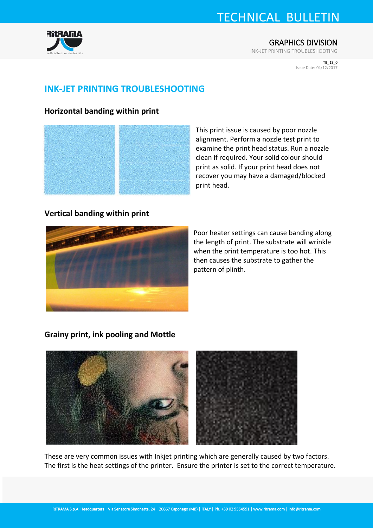# TECHNICAL BULLETIN



INK-JET PRINTING TROUBLESHOOTING

TB\_13\_0 Issue Date: 04/12/2017

## **INK-JET PRINTING TROUBLESHOOTING**

### **Horizontal banding within print**



This print issue is caused by poor nozzle alignment. Perform a nozzle test print to examine the print head status. Run a nozzle clean if required. Your solid colour should print as solid. If your print head does not recover you may have a damaged/blocked print head.

### **Vertical banding within print**



Poor heater settings can cause banding along the length of print. The substrate will wrinkle when the print temperature is too hot. This then causes the substrate to gather the pattern of plinth.

### **Grainy print, ink pooling and Mottle**



These are very common issues with Inkjet printing which are generally caused by two factors. The first is the heat settings of the printer. Ensure the printer is set to the correct temperature.

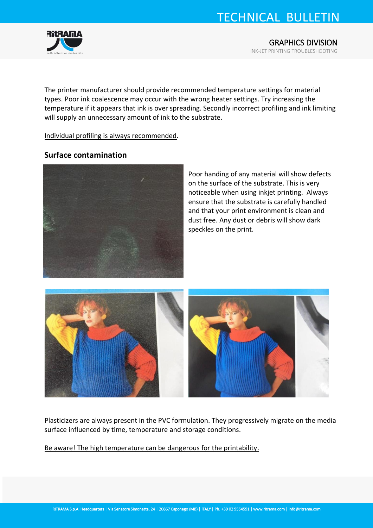# TECHNICAL BULLETIN



The printer manufacturer should provide recommended temperature settings for material types. Poor ink coalescence may occur with the wrong heater settings. Try increasing the temperature if it appears that ink is over spreading. Secondly incorrect profiling and ink limiting will supply an unnecessary amount of ink to the substrate.

Individual profiling is always recommended.

#### **Surface contamination**



Poor handing of any material will show defects on the surface of the substrate. This is very noticeable when using inkjet printing. Always ensure that the substrate is carefully handled and that your print environment is clean and dust free. Any dust or debris will show dark speckles on the print.



Plasticizers are always present in the PVC formulation. They progressively migrate on the media surface influenced by time, temperature and storage conditions.

Be aware! The high temperature can be dangerous for the printability.